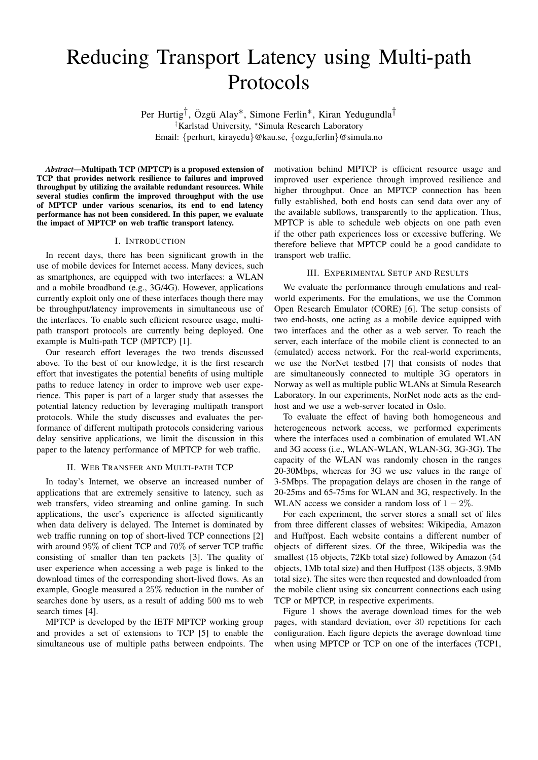# Reducing Transport Latency using Multi-path Protocols

Per Hurtig<sup>†</sup>, Özgü Alay<sup>\*</sup>, Simone Ferlin<sup>\*</sup>, Kiran Yedugundla<sup>†</sup> †Karlstad University, <sup>∗</sup>Simula Research Laboratory Email: {perhurt, kirayedu}@kau.se, {ozgu,ferlin}@simula.no

*Abstract*—Multipath TCP (MPTCP) is a proposed extension of TCP that provides network resilience to failures and improved throughput by utilizing the available redundant resources. While several studies confirm the improved throughput with the use of MPTCP under various scenarios, its end to end latency performance has not been considered. In this paper, we evaluate the impact of MPTCP on web traffic transport latency.

## I. INTRODUCTION

In recent days, there has been significant growth in the use of mobile devices for Internet access. Many devices, such as smartphones, are equipped with two interfaces: a WLAN and a mobile broadband (e.g., 3G/4G). However, applications currently exploit only one of these interfaces though there may be throughput/latency improvements in simultaneous use of the interfaces. To enable such efficient resource usage, multipath transport protocols are currently being deployed. One example is Multi-path TCP (MPTCP) [1].

Our research effort leverages the two trends discussed above. To the best of our knowledge, it is the first research effort that investigates the potential benefits of using multiple paths to reduce latency in order to improve web user experience. This paper is part of a larger study that assesses the potential latency reduction by leveraging multipath transport protocols. While the study discusses and evaluates the performance of different multipath protocols considering various delay sensitive applications, we limit the discussion in this paper to the latency performance of MPTCP for web traffic.

#### II. WEB TRANSFER AND MULTI-PATH TCP

In today's Internet, we observe an increased number of applications that are extremely sensitive to latency, such as web transfers, video streaming and online gaming. In such applications, the user's experience is affected significantly when data delivery is delayed. The Internet is dominated by web traffic running on top of short-lived TCP connections [2] with around 95% of client TCP and 70% of server TCP traffic consisting of smaller than ten packets [3]. The quality of user experience when accessing a web page is linked to the download times of the corresponding short-lived flows. As an example, Google measured a 25% reduction in the number of searches done by users, as a result of adding 500 ms to web search times [4].

MPTCP is developed by the IETF MPTCP working group and provides a set of extensions to TCP [5] to enable the simultaneous use of multiple paths between endpoints. The

motivation behind MPTCP is efficient resource usage and improved user experience through improved resilience and higher throughput. Once an MPTCP connection has been fully established, both end hosts can send data over any of the available subflows, transparently to the application. Thus, MPTCP is able to schedule web objects on one path even if the other path experiences loss or excessive buffering. We therefore believe that MPTCP could be a good candidate to transport web traffic.

## III. EXPERIMENTAL SETUP AND RESULTS

We evaluate the performance through emulations and realworld experiments. For the emulations, we use the Common Open Research Emulator (CORE) [6]. The setup consists of two end-hosts, one acting as a mobile device equipped with two interfaces and the other as a web server. To reach the server, each interface of the mobile client is connected to an (emulated) access network. For the real-world experiments, we use the NorNet testbed [7] that consists of nodes that are simultaneously connected to multiple 3G operators in Norway as well as multiple public WLANs at Simula Research Laboratory. In our experiments, NorNet node acts as the endhost and we use a web-server located in Oslo.

To evaluate the effect of having both homogeneous and heterogeneous network access, we performed experiments where the interfaces used a combination of emulated WLAN and 3G access (i.e., WLAN-WLAN, WLAN-3G, 3G-3G). The capacity of the WLAN was randomly chosen in the ranges 20-30Mbps, whereas for 3G we use values in the range of 3-5Mbps. The propagation delays are chosen in the range of 20-25ms and 65-75ms for WLAN and 3G, respectively. In the WLAN access we consider a random loss of  $1 - 2\%$ .

For each experiment, the server stores a small set of files from three different classes of websites: Wikipedia, Amazon and Huffpost. Each website contains a different number of objects of different sizes. Of the three, Wikipedia was the smallest (15 objects, 72Kb total size) followed by Amazon (54 objects, 1Mb total size) and then Huffpost (138 objects, 3.9Mb total size). The sites were then requested and downloaded from the mobile client using six concurrent connections each using TCP or MPTCP, in respective experiments.

Figure 1 shows the average download times for the web pages, with standard deviation, over 30 repetitions for each configuration. Each figure depicts the average download time when using MPTCP or TCP on one of the interfaces (TCP1,